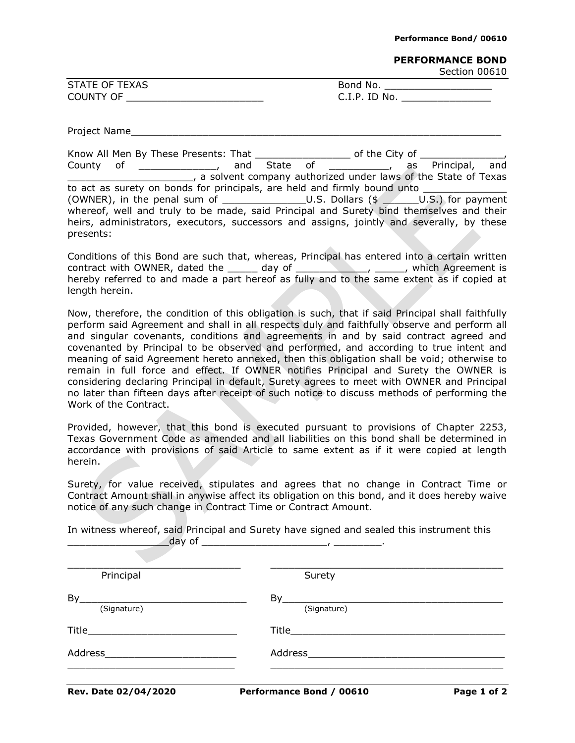## **PERFORMANCE BOND**

Section 00610

| <b>STATE OF TEXAS</b> | Bond No.      |
|-----------------------|---------------|
| COUNTY OF             | C.I.P. ID No. |

Project Name

|                                                                                         | Know All Men By These Presents: That                                                      |  |  |  |  |                                                               |  |
|-----------------------------------------------------------------------------------------|-------------------------------------------------------------------------------------------|--|--|--|--|---------------------------------------------------------------|--|
|                                                                                         | County of the county of                                                                   |  |  |  |  | as Principal, and                                             |  |
|                                                                                         |                                                                                           |  |  |  |  | a solvent company authorized under laws of the State of Texas |  |
| to act as surety on bonds for principals, are held and firmly bound unto                |                                                                                           |  |  |  |  |                                                               |  |
|                                                                                         |                                                                                           |  |  |  |  |                                                               |  |
| whereof, well and truly to be made, said Principal and Surety bind themselves and their |                                                                                           |  |  |  |  |                                                               |  |
|                                                                                         | heirs, administrators, executors, successors and assigns, jointly and severally, by these |  |  |  |  |                                                               |  |
| presents:                                                                               |                                                                                           |  |  |  |  |                                                               |  |

Conditions of this Bond are such that, whereas, Principal has entered into a certain written contract with OWNER, dated the \_\_\_\_\_\_ day of \_\_\_\_\_\_\_\_\_\_\_\_\_\_\_\_\_\_\_\_\_, which Agreement is hereby referred to and made a part hereof as fully and to the same extent as if copied at length herein.

Now, therefore, the condition of this obligation is such, that if said Principal shall faithfully perform said Agreement and shall in all respects duly and faithfully observe and perform all and singular covenants, conditions and agreements in and by said contract agreed and covenanted by Principal to be observed and performed, and according to true intent and meaning of said Agreement hereto annexed, then this obligation shall be void; otherwise to remain in full force and effect. If OWNER notifies Principal and Surety the OWNER is considering declaring Principal in default, Surety agrees to meet with OWNER and Principal no later than fifteen days after receipt of such notice to discuss methods of performing the Work of the Contract.

Provided, however, that this bond is executed pursuant to provisions of Chapter 2253, Texas Government Code as amended and all liabilities on this bond shall be determined in accordance with provisions of said Article to same extent as if it were copied at length herein.

Surety, for value received, stipulates and agrees that no change in Contract Time or Contract Amount shall in anywise affect its obligation on this bond, and it does hereby waive notice of any such change in Contract Time or Contract Amount.

In witness whereof, said Principal and Surety have signed and sealed this instrument this \_\_\_\_\_\_\_\_\_\_\_\_\_\_\_\_\_day of \_\_\_\_\_\_\_\_\_\_\_\_\_\_\_\_\_\_\_\_\_, \_\_\_\_\_\_\_\_.

| Rev. Date 02/04/2020                                                                                                                                                                                                                                                                                                                                                | Performance Bond / 00610 | Page 1 of 2 |
|---------------------------------------------------------------------------------------------------------------------------------------------------------------------------------------------------------------------------------------------------------------------------------------------------------------------------------------------------------------------|--------------------------|-------------|
| Address                                                                                                                                                                                                                                                                                                                                                             |                          |             |
| $\begin{picture}(25,10) \put(0,0){\vector(1,0){100}} \put(15,0){\vector(1,0){100}} \put(15,0){\vector(1,0){100}} \put(15,0){\vector(1,0){100}} \put(15,0){\vector(1,0){100}} \put(15,0){\vector(1,0){100}} \put(15,0){\vector(1,0){100}} \put(15,0){\vector(1,0){100}} \put(15,0){\vector(1,0){100}} \put(15,0){\vector(1,0){100}} \put(15,0){\vector(1,0){100}} \$ |                          |             |
| By<br>(Signature)                                                                                                                                                                                                                                                                                                                                                   | By<br>(Signature)        |             |
| Principal                                                                                                                                                                                                                                                                                                                                                           | Surety                   |             |
|                                                                                                                                                                                                                                                                                                                                                                     |                          |             |